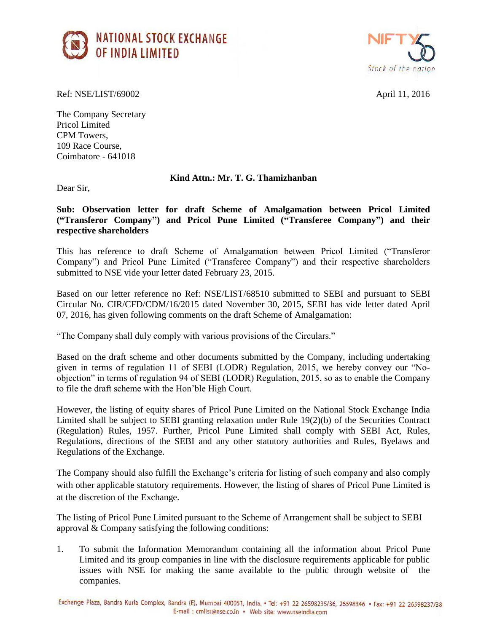



Ref: NSE/LIST/69002 April 11, 2016

The Company Secretary Pricol Limited CPM Towers, 109 Race Course, Coimbatore - 641018

## **Kind Attn.: Mr. T. G. Thamizhanban**

Dear Sir,

**Sub: Observation letter for draft Scheme of Amalgamation between Pricol Limited ("Transferor Company") and Pricol Pune Limited ("Transferee Company") and their respective shareholders**

This has reference to draft Scheme of Amalgamation between Pricol Limited ("Transferor Company") and Pricol Pune Limited ("Transferee Company") and their respective shareholders submitted to NSE vide your letter dated February 23, 2015.

Based on our letter reference no Ref: NSE/LIST/68510 submitted to SEBI and pursuant to SEBI Circular No. CIR/CFD/CDM/16/2015 dated November 30, 2015, SEBI has vide letter dated April 07, 2016, has given following comments on the draft Scheme of Amalgamation:

"The Company shall duly comply with various provisions of the Circulars."

Based on the draft scheme and other documents submitted by the Company, including undertaking given in terms of regulation 11 of SEBI (LODR) Regulation, 2015, we hereby convey our "Noobjection" in terms of regulation 94 of SEBI (LODR) Regulation, 2015, so as to enable the Company to file the draft scheme with the Hon'ble High Court.

However, the listing of equity shares of Pricol Pune Limited on the National Stock Exchange India Limited shall be subject to SEBI granting relaxation under Rule 19(2)(b) of the Securities Contract (Regulation) Rules, 1957. Further, Pricol Pune Limited shall comply with SEBI Act, Rules, Regulations, directions of the SEBI and any other statutory authorities and Rules, Byelaws and Regulations of the Exchange.

The Company should also fulfill the Exchange's criteria for listing of such company and also comply with other applicable statutory requirements. However, the listing of shares of Pricol Pune Limited is at the discretion of the Exchange.

The listing of Pricol Pune Limited pursuant to the Scheme of Arrangement shall be subject to SEBI approval & Company satisfying the following conditions:

1. To submit the Information Memorandum containing all the information about Pricol Pune Limited and its group companies in line with the disclosure requirements applicable for public issues with NSE for making the same available to the public through website of the companies.